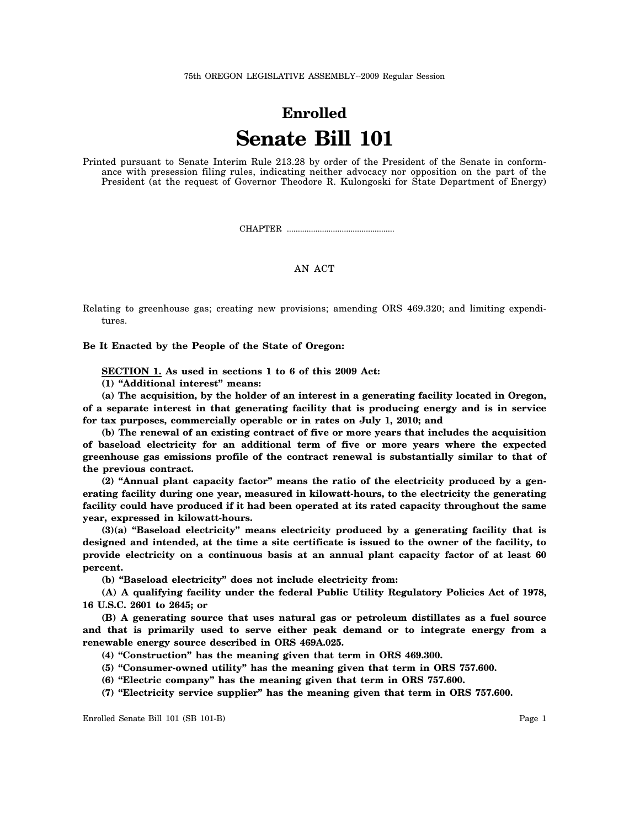## **Enrolled Senate Bill 101**

Printed pursuant to Senate Interim Rule 213.28 by order of the President of the Senate in conformance with presession filing rules, indicating neither advocacy nor opposition on the part of the President (at the request of Governor Theodore R. Kulongoski for State Department of Energy)

CHAPTER .................................................

## AN ACT

Relating to greenhouse gas; creating new provisions; amending ORS 469.320; and limiting expenditures.

**Be It Enacted by the People of the State of Oregon:**

**SECTION 1. As used in sections 1 to 6 of this 2009 Act:**

**(1) "Additional interest" means:**

**(a) The acquisition, by the holder of an interest in a generating facility located in Oregon, of a separate interest in that generating facility that is producing energy and is in service for tax purposes, commercially operable or in rates on July 1, 2010; and**

**(b) The renewal of an existing contract of five or more years that includes the acquisition of baseload electricity for an additional term of five or more years where the expected greenhouse gas emissions profile of the contract renewal is substantially similar to that of the previous contract.**

**(2) "Annual plant capacity factor" means the ratio of the electricity produced by a generating facility during one year, measured in kilowatt-hours, to the electricity the generating facility could have produced if it had been operated at its rated capacity throughout the same year, expressed in kilowatt-hours.**

**(3)(a) "Baseload electricity" means electricity produced by a generating facility that is designed and intended, at the time a site certificate is issued to the owner of the facility, to provide electricity on a continuous basis at an annual plant capacity factor of at least 60 percent.**

**(b) "Baseload electricity" does not include electricity from:**

**(A) A qualifying facility under the federal Public Utility Regulatory Policies Act of 1978, 16 U.S.C. 2601 to 2645; or**

**(B) A generating source that uses natural gas or petroleum distillates as a fuel source and that is primarily used to serve either peak demand or to integrate energy from a renewable energy source described in ORS 469A.025.**

**(4) "Construction" has the meaning given that term in ORS 469.300.**

**(5) "Consumer-owned utility" has the meaning given that term in ORS 757.600.**

**(6) "Electric company" has the meaning given that term in ORS 757.600.**

**(7) "Electricity service supplier" has the meaning given that term in ORS 757.600.**

Enrolled Senate Bill 101 (SB 101-B) Page 1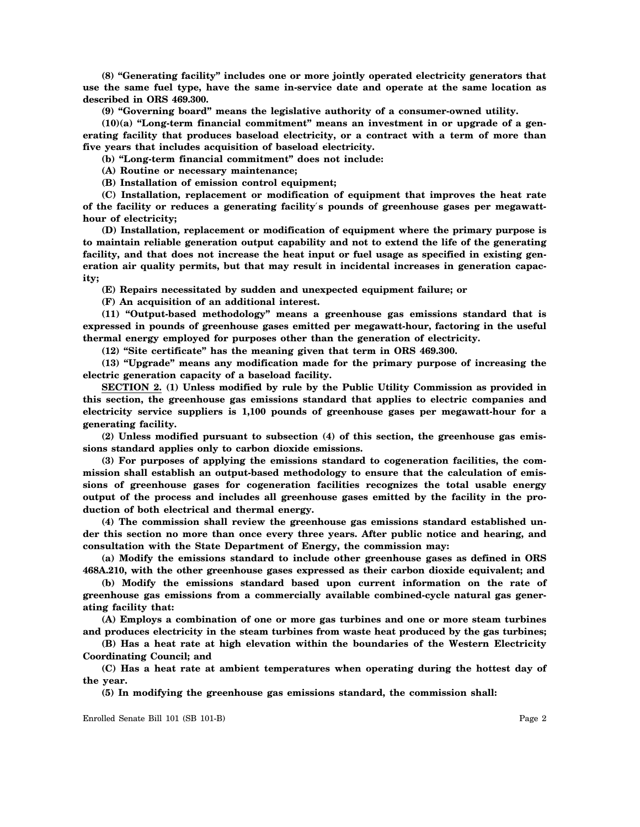**(8) "Generating facility" includes one or more jointly operated electricity generators that use the same fuel type, have the same in-service date and operate at the same location as described in ORS 469.300.**

**(9) "Governing board" means the legislative authority of a consumer-owned utility.**

**(10)(a) "Long-term financial commitment" means an investment in or upgrade of a generating facility that produces baseload electricity, or a contract with a term of more than five years that includes acquisition of baseload electricity.**

**(b) "Long-term financial commitment" does not include:**

**(A) Routine or necessary maintenance;**

**(B) Installation of emission control equipment;**

**(C) Installation, replacement or modification of equipment that improves the heat rate of the facility or reduces a generating facility**′**s pounds of greenhouse gases per megawatthour of electricity;**

**(D) Installation, replacement or modification of equipment where the primary purpose is to maintain reliable generation output capability and not to extend the life of the generating facility, and that does not increase the heat input or fuel usage as specified in existing generation air quality permits, but that may result in incidental increases in generation capacity;**

**(E) Repairs necessitated by sudden and unexpected equipment failure; or**

**(F) An acquisition of an additional interest.**

**(11) "Output-based methodology" means a greenhouse gas emissions standard that is expressed in pounds of greenhouse gases emitted per megawatt-hour, factoring in the useful thermal energy employed for purposes other than the generation of electricity.**

**(12) "Site certificate" has the meaning given that term in ORS 469.300.**

**(13) "Upgrade" means any modification made for the primary purpose of increasing the electric generation capacity of a baseload facility.**

**SECTION 2. (1) Unless modified by rule by the Public Utility Commission as provided in this section, the greenhouse gas emissions standard that applies to electric companies and electricity service suppliers is 1,100 pounds of greenhouse gases per megawatt-hour for a generating facility.**

**(2) Unless modified pursuant to subsection (4) of this section, the greenhouse gas emissions standard applies only to carbon dioxide emissions.**

**(3) For purposes of applying the emissions standard to cogeneration facilities, the commission shall establish an output-based methodology to ensure that the calculation of emissions of greenhouse gases for cogeneration facilities recognizes the total usable energy output of the process and includes all greenhouse gases emitted by the facility in the production of both electrical and thermal energy.**

**(4) The commission shall review the greenhouse gas emissions standard established under this section no more than once every three years. After public notice and hearing, and consultation with the State Department of Energy, the commission may:**

**(a) Modify the emissions standard to include other greenhouse gases as defined in ORS 468A.210, with the other greenhouse gases expressed as their carbon dioxide equivalent; and**

**(b) Modify the emissions standard based upon current information on the rate of greenhouse gas emissions from a commercially available combined-cycle natural gas generating facility that:**

**(A) Employs a combination of one or more gas turbines and one or more steam turbines and produces electricity in the steam turbines from waste heat produced by the gas turbines;**

**(B) Has a heat rate at high elevation within the boundaries of the Western Electricity Coordinating Council; and**

**(C) Has a heat rate at ambient temperatures when operating during the hottest day of the year.**

**(5) In modifying the greenhouse gas emissions standard, the commission shall:**

Enrolled Senate Bill 101 (SB 101-B) Page 2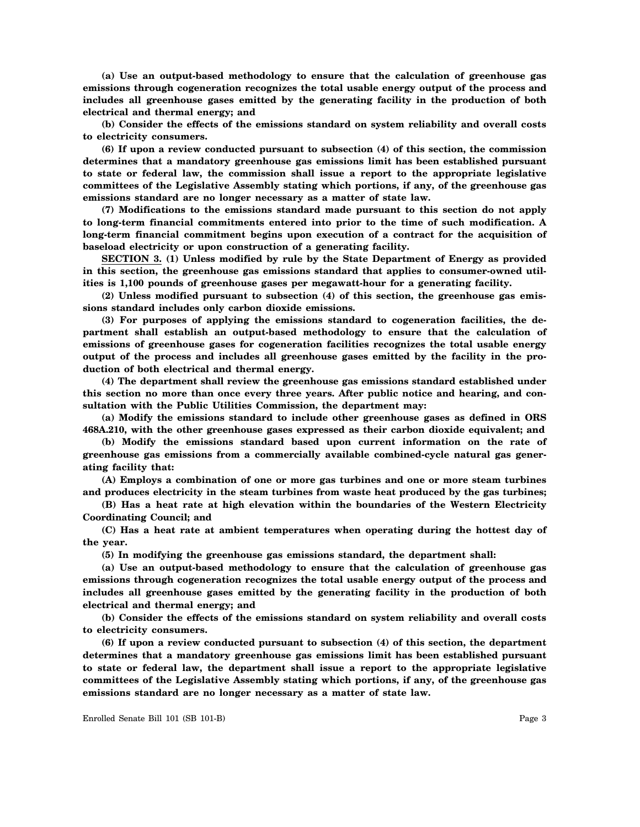**(a) Use an output-based methodology to ensure that the calculation of greenhouse gas emissions through cogeneration recognizes the total usable energy output of the process and includes all greenhouse gases emitted by the generating facility in the production of both electrical and thermal energy; and**

**(b) Consider the effects of the emissions standard on system reliability and overall costs to electricity consumers.**

**(6) If upon a review conducted pursuant to subsection (4) of this section, the commission determines that a mandatory greenhouse gas emissions limit has been established pursuant to state or federal law, the commission shall issue a report to the appropriate legislative committees of the Legislative Assembly stating which portions, if any, of the greenhouse gas emissions standard are no longer necessary as a matter of state law.**

**(7) Modifications to the emissions standard made pursuant to this section do not apply to long-term financial commitments entered into prior to the time of such modification. A long-term financial commitment begins upon execution of a contract for the acquisition of baseload electricity or upon construction of a generating facility.**

**SECTION 3. (1) Unless modified by rule by the State Department of Energy as provided in this section, the greenhouse gas emissions standard that applies to consumer-owned utilities is 1,100 pounds of greenhouse gases per megawatt-hour for a generating facility.**

**(2) Unless modified pursuant to subsection (4) of this section, the greenhouse gas emissions standard includes only carbon dioxide emissions.**

**(3) For purposes of applying the emissions standard to cogeneration facilities, the department shall establish an output-based methodology to ensure that the calculation of emissions of greenhouse gases for cogeneration facilities recognizes the total usable energy output of the process and includes all greenhouse gases emitted by the facility in the production of both electrical and thermal energy.**

**(4) The department shall review the greenhouse gas emissions standard established under this section no more than once every three years. After public notice and hearing, and consultation with the Public Utilities Commission, the department may:**

**(a) Modify the emissions standard to include other greenhouse gases as defined in ORS 468A.210, with the other greenhouse gases expressed as their carbon dioxide equivalent; and**

**(b) Modify the emissions standard based upon current information on the rate of greenhouse gas emissions from a commercially available combined-cycle natural gas generating facility that:**

**(A) Employs a combination of one or more gas turbines and one or more steam turbines and produces electricity in the steam turbines from waste heat produced by the gas turbines;**

**(B) Has a heat rate at high elevation within the boundaries of the Western Electricity Coordinating Council; and**

**(C) Has a heat rate at ambient temperatures when operating during the hottest day of the year.**

**(5) In modifying the greenhouse gas emissions standard, the department shall:**

**(a) Use an output-based methodology to ensure that the calculation of greenhouse gas emissions through cogeneration recognizes the total usable energy output of the process and includes all greenhouse gases emitted by the generating facility in the production of both electrical and thermal energy; and**

**(b) Consider the effects of the emissions standard on system reliability and overall costs to electricity consumers.**

**(6) If upon a review conducted pursuant to subsection (4) of this section, the department determines that a mandatory greenhouse gas emissions limit has been established pursuant to state or federal law, the department shall issue a report to the appropriate legislative committees of the Legislative Assembly stating which portions, if any, of the greenhouse gas emissions standard are no longer necessary as a matter of state law.**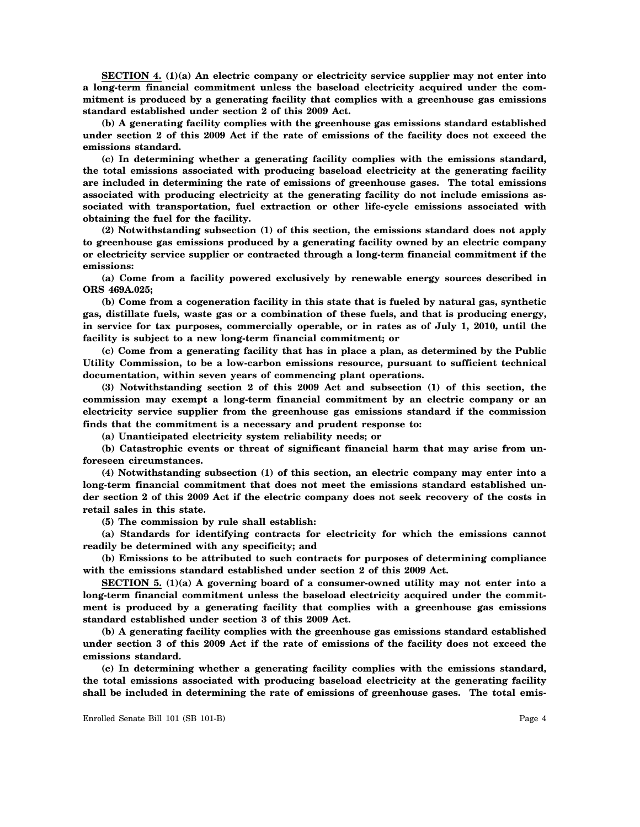**SECTION 4. (1)(a) An electric company or electricity service supplier may not enter into a long-term financial commitment unless the baseload electricity acquired under the commitment is produced by a generating facility that complies with a greenhouse gas emissions standard established under section 2 of this 2009 Act.**

**(b) A generating facility complies with the greenhouse gas emissions standard established under section 2 of this 2009 Act if the rate of emissions of the facility does not exceed the emissions standard.**

**(c) In determining whether a generating facility complies with the emissions standard, the total emissions associated with producing baseload electricity at the generating facility are included in determining the rate of emissions of greenhouse gases. The total emissions associated with producing electricity at the generating facility do not include emissions associated with transportation, fuel extraction or other life-cycle emissions associated with obtaining the fuel for the facility.**

**(2) Notwithstanding subsection (1) of this section, the emissions standard does not apply to greenhouse gas emissions produced by a generating facility owned by an electric company or electricity service supplier or contracted through a long-term financial commitment if the emissions:**

**(a) Come from a facility powered exclusively by renewable energy sources described in ORS 469A.025;**

**(b) Come from a cogeneration facility in this state that is fueled by natural gas, synthetic gas, distillate fuels, waste gas or a combination of these fuels, and that is producing energy, in service for tax purposes, commercially operable, or in rates as of July 1, 2010, until the facility is subject to a new long-term financial commitment; or**

**(c) Come from a generating facility that has in place a plan, as determined by the Public Utility Commission, to be a low-carbon emissions resource, pursuant to sufficient technical documentation, within seven years of commencing plant operations.**

**(3) Notwithstanding section 2 of this 2009 Act and subsection (1) of this section, the commission may exempt a long-term financial commitment by an electric company or an electricity service supplier from the greenhouse gas emissions standard if the commission finds that the commitment is a necessary and prudent response to:**

**(a) Unanticipated electricity system reliability needs; or**

**(b) Catastrophic events or threat of significant financial harm that may arise from unforeseen circumstances.**

**(4) Notwithstanding subsection (1) of this section, an electric company may enter into a long-term financial commitment that does not meet the emissions standard established under section 2 of this 2009 Act if the electric company does not seek recovery of the costs in retail sales in this state.**

**(5) The commission by rule shall establish:**

**(a) Standards for identifying contracts for electricity for which the emissions cannot readily be determined with any specificity; and**

**(b) Emissions to be attributed to such contracts for purposes of determining compliance with the emissions standard established under section 2 of this 2009 Act.**

**SECTION 5. (1)(a) A governing board of a consumer-owned utility may not enter into a long-term financial commitment unless the baseload electricity acquired under the commitment is produced by a generating facility that complies with a greenhouse gas emissions standard established under section 3 of this 2009 Act.**

**(b) A generating facility complies with the greenhouse gas emissions standard established under section 3 of this 2009 Act if the rate of emissions of the facility does not exceed the emissions standard.**

**(c) In determining whether a generating facility complies with the emissions standard, the total emissions associated with producing baseload electricity at the generating facility shall be included in determining the rate of emissions of greenhouse gases. The total emis-**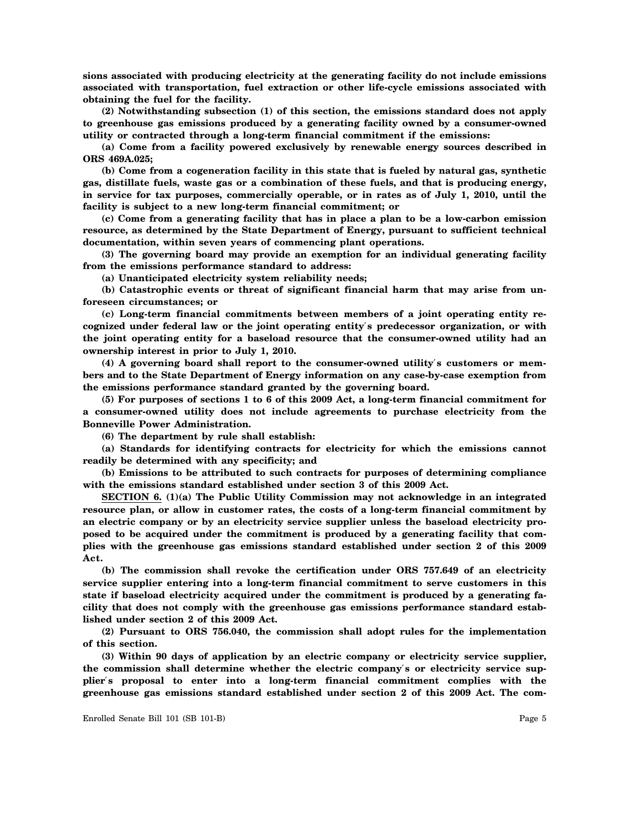**sions associated with producing electricity at the generating facility do not include emissions associated with transportation, fuel extraction or other life-cycle emissions associated with obtaining the fuel for the facility.**

**(2) Notwithstanding subsection (1) of this section, the emissions standard does not apply to greenhouse gas emissions produced by a generating facility owned by a consumer-owned utility or contracted through a long-term financial commitment if the emissions:**

**(a) Come from a facility powered exclusively by renewable energy sources described in ORS 469A.025;**

**(b) Come from a cogeneration facility in this state that is fueled by natural gas, synthetic gas, distillate fuels, waste gas or a combination of these fuels, and that is producing energy, in service for tax purposes, commercially operable, or in rates as of July 1, 2010, until the facility is subject to a new long-term financial commitment; or**

**(c) Come from a generating facility that has in place a plan to be a low-carbon emission resource, as determined by the State Department of Energy, pursuant to sufficient technical documentation, within seven years of commencing plant operations.**

**(3) The governing board may provide an exemption for an individual generating facility from the emissions performance standard to address:**

**(a) Unanticipated electricity system reliability needs;**

**(b) Catastrophic events or threat of significant financial harm that may arise from unforeseen circumstances; or**

**(c) Long-term financial commitments between members of a joint operating entity recognized under federal law or the joint operating entity**′**s predecessor organization, or with the joint operating entity for a baseload resource that the consumer-owned utility had an ownership interest in prior to July 1, 2010.**

**(4) A governing board shall report to the consumer-owned utility**′**s customers or members and to the State Department of Energy information on any case-by-case exemption from the emissions performance standard granted by the governing board.**

**(5) For purposes of sections 1 to 6 of this 2009 Act, a long-term financial commitment for a consumer-owned utility does not include agreements to purchase electricity from the Bonneville Power Administration.**

**(6) The department by rule shall establish:**

**(a) Standards for identifying contracts for electricity for which the emissions cannot readily be determined with any specificity; and**

**(b) Emissions to be attributed to such contracts for purposes of determining compliance with the emissions standard established under section 3 of this 2009 Act.**

**SECTION 6. (1)(a) The Public Utility Commission may not acknowledge in an integrated resource plan, or allow in customer rates, the costs of a long-term financial commitment by an electric company or by an electricity service supplier unless the baseload electricity proposed to be acquired under the commitment is produced by a generating facility that complies with the greenhouse gas emissions standard established under section 2 of this 2009 Act.**

**(b) The commission shall revoke the certification under ORS 757.649 of an electricity service supplier entering into a long-term financial commitment to serve customers in this state if baseload electricity acquired under the commitment is produced by a generating facility that does not comply with the greenhouse gas emissions performance standard established under section 2 of this 2009 Act.**

**(2) Pursuant to ORS 756.040, the commission shall adopt rules for the implementation of this section.**

**(3) Within 90 days of application by an electric company or electricity service supplier, the commission shall determine whether the electric company**′**s or electricity service supplier**′**s proposal to enter into a long-term financial commitment complies with the greenhouse gas emissions standard established under section 2 of this 2009 Act. The com-**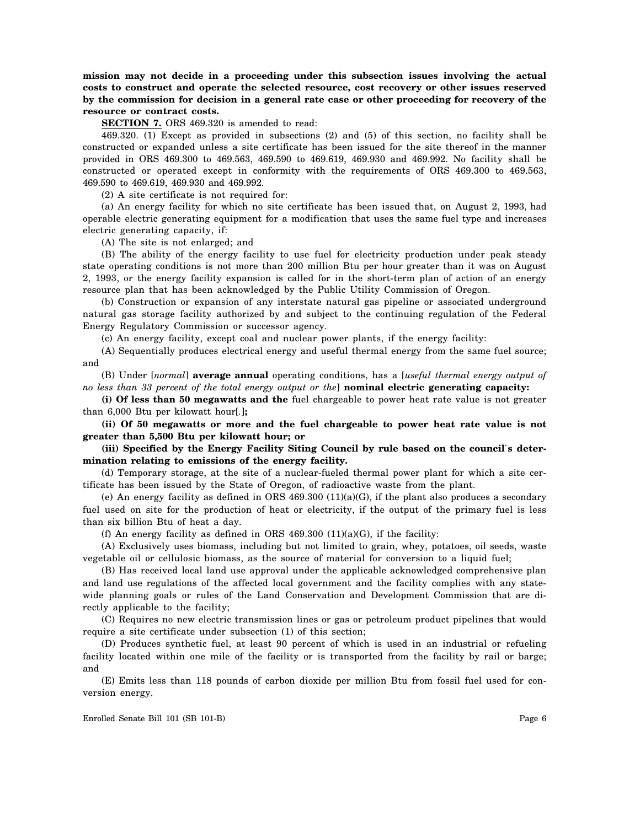**mission may not decide in a proceeding under this subsection issues involving the actual costs to construct and operate the selected resource, cost recovery or other issues reserved by the commission for decision in a general rate case or other proceeding for recovery of the resource or contract costs.**

**SECTION 7.** ORS 469.320 is amended to read:

469.320. (1) Except as provided in subsections (2) and (5) of this section, no facility shall be constructed or expanded unless a site certificate has been issued for the site thereof in the manner provided in ORS 469.300 to 469.563, 469.590 to 469.619, 469.930 and 469.992. No facility shall be constructed or operated except in conformity with the requirements of ORS 469.300 to 469.563, 469.590 to 469.619, 469.930 and 469.992.

(2) A site certificate is not required for:

(a) An energy facility for which no site certificate has been issued that, on August 2, 1993, had operable electric generating equipment for a modification that uses the same fuel type and increases electric generating capacity, if:

(A) The site is not enlarged; and

(B) The ability of the energy facility to use fuel for electricity production under peak steady state operating conditions is not more than 200 million Btu per hour greater than it was on August 2, 1993, or the energy facility expansion is called for in the short-term plan of action of an energy resource plan that has been acknowledged by the Public Utility Commission of Oregon.

(b) Construction or expansion of any interstate natural gas pipeline or associated underground natural gas storage facility authorized by and subject to the continuing regulation of the Federal Energy Regulatory Commission or successor agency.

(c) An energy facility, except coal and nuclear power plants, if the energy facility:

(A) Sequentially produces electrical energy and useful thermal energy from the same fuel source; and

(B) Under [*normal*] **average annual** operating conditions, has a [*useful thermal energy output of no less than 33 percent of the total energy output or the*] **nominal electric generating capacity:**

**(i) Of less than 50 megawatts and the** fuel chargeable to power heat rate value is not greater than 6,000 Btu per kilowatt hour[*.*]**;**

**(ii) Of 50 megawatts or more and the fuel chargeable to power heat rate value is not greater than 5,500 Btu per kilowatt hour; or**

**(iii) Specified by the Energy Facility Siting Council by rule based on the council**′**s determination relating to emissions of the energy facility.**

(d) Temporary storage, at the site of a nuclear-fueled thermal power plant for which a site certificate has been issued by the State of Oregon, of radioactive waste from the plant.

(e) An energy facility as defined in ORS  $469.300 \,(11)(a)(G)$ , if the plant also produces a secondary fuel used on site for the production of heat or electricity, if the output of the primary fuel is less than six billion Btu of heat a day.

(f) An energy facility as defined in ORS 469.300 (11)(a)(G), if the facility:

(A) Exclusively uses biomass, including but not limited to grain, whey, potatoes, oil seeds, waste vegetable oil or cellulosic biomass, as the source of material for conversion to a liquid fuel;

(B) Has received local land use approval under the applicable acknowledged comprehensive plan and land use regulations of the affected local government and the facility complies with any statewide planning goals or rules of the Land Conservation and Development Commission that are directly applicable to the facility;

(C) Requires no new electric transmission lines or gas or petroleum product pipelines that would require a site certificate under subsection (1) of this section;

(D) Produces synthetic fuel, at least 90 percent of which is used in an industrial or refueling facility located within one mile of the facility or is transported from the facility by rail or barge; and

(E) Emits less than 118 pounds of carbon dioxide per million Btu from fossil fuel used for conversion energy.

Enrolled Senate Bill 101 (SB 101-B) Page 6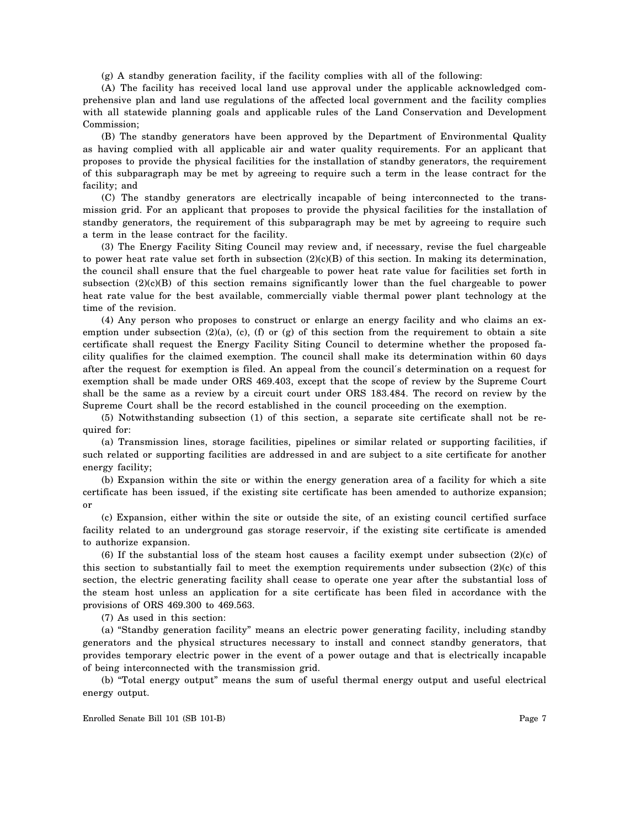(g) A standby generation facility, if the facility complies with all of the following:

(A) The facility has received local land use approval under the applicable acknowledged comprehensive plan and land use regulations of the affected local government and the facility complies with all statewide planning goals and applicable rules of the Land Conservation and Development Commission;

(B) The standby generators have been approved by the Department of Environmental Quality as having complied with all applicable air and water quality requirements. For an applicant that proposes to provide the physical facilities for the installation of standby generators, the requirement of this subparagraph may be met by agreeing to require such a term in the lease contract for the facility; and

(C) The standby generators are electrically incapable of being interconnected to the transmission grid. For an applicant that proposes to provide the physical facilities for the installation of standby generators, the requirement of this subparagraph may be met by agreeing to require such a term in the lease contract for the facility.

(3) The Energy Facility Siting Council may review and, if necessary, revise the fuel chargeable to power heat rate value set forth in subsection  $(2)(c)(B)$  of this section. In making its determination, the council shall ensure that the fuel chargeable to power heat rate value for facilities set forth in subsection  $(2)(c)(B)$  of this section remains significantly lower than the fuel chargeable to power heat rate value for the best available, commercially viable thermal power plant technology at the time of the revision.

(4) Any person who proposes to construct or enlarge an energy facility and who claims an exemption under subsection  $(2)(a)$ ,  $(c)$ ,  $(f)$  or  $(g)$  of this section from the requirement to obtain a site certificate shall request the Energy Facility Siting Council to determine whether the proposed facility qualifies for the claimed exemption. The council shall make its determination within 60 days after the request for exemption is filed. An appeal from the council′s determination on a request for exemption shall be made under ORS 469.403, except that the scope of review by the Supreme Court shall be the same as a review by a circuit court under ORS 183.484. The record on review by the Supreme Court shall be the record established in the council proceeding on the exemption.

(5) Notwithstanding subsection (1) of this section, a separate site certificate shall not be required for:

(a) Transmission lines, storage facilities, pipelines or similar related or supporting facilities, if such related or supporting facilities are addressed in and are subject to a site certificate for another energy facility;

(b) Expansion within the site or within the energy generation area of a facility for which a site certificate has been issued, if the existing site certificate has been amended to authorize expansion; or

(c) Expansion, either within the site or outside the site, of an existing council certified surface facility related to an underground gas storage reservoir, if the existing site certificate is amended to authorize expansion.

(6) If the substantial loss of the steam host causes a facility exempt under subsection (2)(c) of this section to substantially fail to meet the exemption requirements under subsection (2)(c) of this section, the electric generating facility shall cease to operate one year after the substantial loss of the steam host unless an application for a site certificate has been filed in accordance with the provisions of ORS 469.300 to 469.563.

(7) As used in this section:

(a) "Standby generation facility" means an electric power generating facility, including standby generators and the physical structures necessary to install and connect standby generators, that provides temporary electric power in the event of a power outage and that is electrically incapable of being interconnected with the transmission grid.

(b) "Total energy output" means the sum of useful thermal energy output and useful electrical energy output.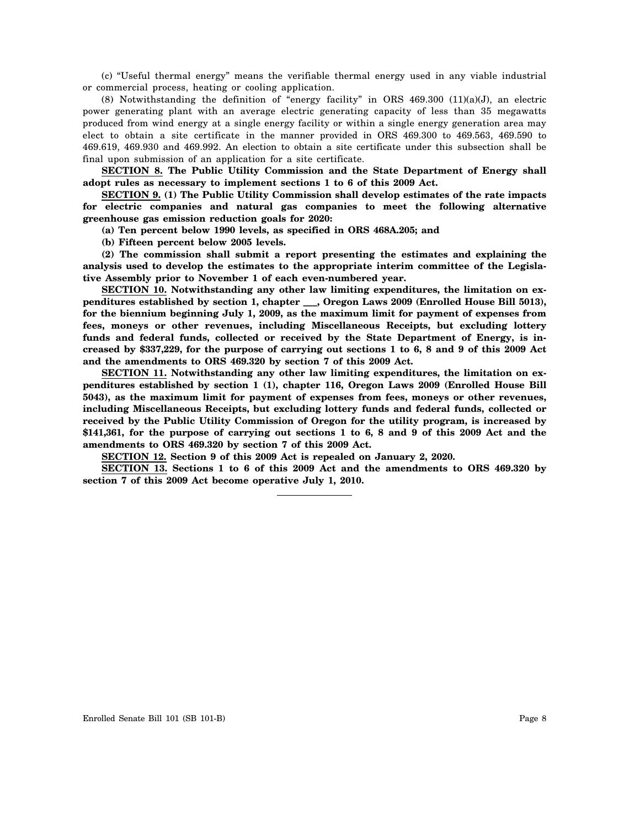(c) "Useful thermal energy" means the verifiable thermal energy used in any viable industrial or commercial process, heating or cooling application.

(8) Notwithstanding the definition of "energy facility" in ORS 469.300 (11)(a)(J), an electric power generating plant with an average electric generating capacity of less than 35 megawatts produced from wind energy at a single energy facility or within a single energy generation area may elect to obtain a site certificate in the manner provided in ORS 469.300 to 469.563, 469.590 to 469.619, 469.930 and 469.992. An election to obtain a site certificate under this subsection shall be final upon submission of an application for a site certificate.

**SECTION 8. The Public Utility Commission and the State Department of Energy shall adopt rules as necessary to implement sections 1 to 6 of this 2009 Act.**

**SECTION 9. (1) The Public Utility Commission shall develop estimates of the rate impacts for electric companies and natural gas companies to meet the following alternative greenhouse gas emission reduction goals for 2020:**

**(a) Ten percent below 1990 levels, as specified in ORS 468A.205; and**

**(b) Fifteen percent below 2005 levels.**

**(2) The commission shall submit a report presenting the estimates and explaining the analysis used to develop the estimates to the appropriate interim committee of the Legislative Assembly prior to November 1 of each even-numbered year.**

**SECTION 10. Notwithstanding any other law limiting expenditures, the limitation on expenditures established by section 1, chapter \_\_\_, Oregon Laws 2009 (Enrolled House Bill 5013), for the biennium beginning July 1, 2009, as the maximum limit for payment of expenses from fees, moneys or other revenues, including Miscellaneous Receipts, but excluding lottery funds and federal funds, collected or received by the State Department of Energy, is increased by \$337,229, for the purpose of carrying out sections 1 to 6, 8 and 9 of this 2009 Act and the amendments to ORS 469.320 by section 7 of this 2009 Act.**

**SECTION 11. Notwithstanding any other law limiting expenditures, the limitation on expenditures established by section 1 (1), chapter 116, Oregon Laws 2009 (Enrolled House Bill 5043), as the maximum limit for payment of expenses from fees, moneys or other revenues, including Miscellaneous Receipts, but excluding lottery funds and federal funds, collected or received by the Public Utility Commission of Oregon for the utility program, is increased by \$141,361, for the purpose of carrying out sections 1 to 6, 8 and 9 of this 2009 Act and the amendments to ORS 469.320 by section 7 of this 2009 Act.**

**SECTION 12. Section 9 of this 2009 Act is repealed on January 2, 2020.**

**SECTION 13. Sections 1 to 6 of this 2009 Act and the amendments to ORS 469.320 by section 7 of this 2009 Act become operative July 1, 2010.**